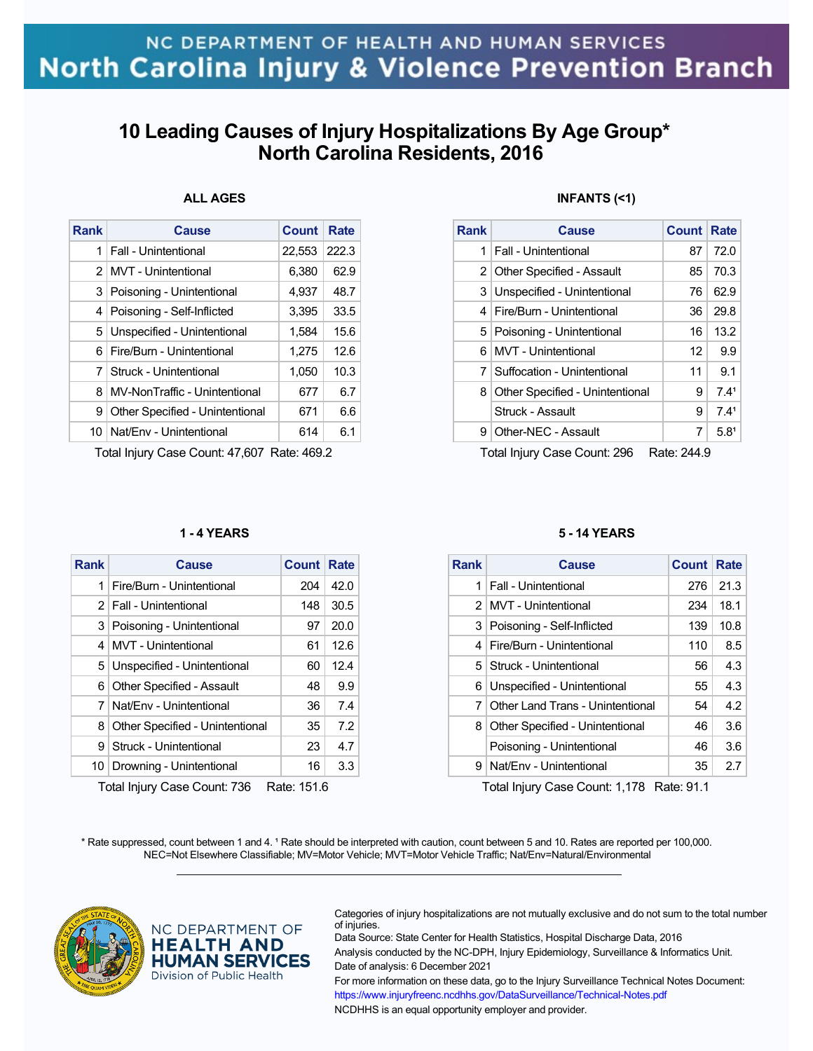## **10 Leading Causes of Injury Hospitalizations By Age Group\* North Carolina Residents, 2016**

### **ALL AGES**

| Rank          | Cause                           | Count  | Rate  |
|---------------|---------------------------------|--------|-------|
| 1             | Fall - Unintentional            | 22,553 | 222.3 |
| $\mathcal{P}$ | <b>MVT</b> - Unintentional      | 6,380  | 62.9  |
|               | 3   Poisoning - Unintentional   | 4,937  | 48.7  |
| 4             | Poisoning - Self-Inflicted      | 3,395  | 33.5  |
|               | 5 Unspecified - Unintentional   | 1,584  | 15.6  |
| 6             | Fire/Burn - Unintentional       | 1,275  | 12.6  |
| 7             | Struck - Unintentional          | 1,050  | 10.3  |
| 8             | MV-NonTraffic - Unintentional   | 677    | 6.7   |
| 9             | Other Specified - Unintentional | 671    | 6.6   |
|               | 10   Nat/Env - Unintentional    | 614    | 6.1   |

Total Injury Case Count: 47,607 Rate: 469.2

### **1 - 4 YEARS**

| <b>Rank</b> | <b>Cause</b>                    | Count | Rate |  |  |
|-------------|---------------------------------|-------|------|--|--|
| 1           | Fire/Burn - Unintentional       | 204   | 42.0 |  |  |
|             | 2   Fall - Unintentional        | 148   | 30.5 |  |  |
|             | 3   Poisoning - Unintentional   | 97    | 20.0 |  |  |
| 4           | MVT - Unintentional             | 61    | 12.6 |  |  |
|             | 5 Unspecified - Unintentional   | 60    | 12.4 |  |  |
|             | 6 Other Specified - Assault     | 48    | 9.9  |  |  |
|             | 7 Nat/Env - Unintentional       | 36    | 7.4  |  |  |
| 8           | Other Specified - Unintentional | 35    | 7.2  |  |  |
| 9           | Struck - Unintentional          | 23    | 4.7  |  |  |
|             | 10   Drowning - Unintentional   | 16    | 3.3  |  |  |
|             |                                 |       |      |  |  |

Total Injury Case Count: 736 Rate: 151.6

### **INFANTS (<1)**

| Rank | Cause                           | <b>Count Rate</b> |                  |
|------|---------------------------------|-------------------|------------------|
| 1    | Fall - Unintentional            | 87                | 72.0             |
|      | 2   Other Specified - Assault   | 85                | 70.3             |
|      | 3 Unspecified - Unintentional   | 76                | 62.9             |
| 4    | Fire/Burn - Unintentional       | 36                | 29.8             |
|      | 5   Poisoning - Unintentional   | 16                | 13.2             |
| 6    | MVT - Unintentional             | 12                | 9.9              |
| 7    | Suffocation - Unintentional     | 11                | 9.1              |
| 8    | Other Specified - Unintentional | 9                 | 7.41             |
|      | Struck - Assault                | 9                 | 7.41             |
| 9    | Other-NEC - Assault             | 7                 | 5.8 <sup>1</sup> |

Total Injury Case Count: 296 Rate: 244.9

#### **5 - 14 YEARS**

| Rank | Cause                            | Count | Rate |
|------|----------------------------------|-------|------|
| 1    | Fall - Unintentional             | 276   | 21.3 |
|      | 2 MVT - Unintentional            | 234   | 18.1 |
|      | 3 Poisoning - Self-Inflicted     | 139   | 10.8 |
| 4    | Fire/Burn - Unintentional        | 110   | 8.5  |
| 5    | Struck - Unintentional           | 56    | 4.3  |
| 6    | Unspecified - Unintentional      | 55    | 4.3  |
| 7    | Other Land Trans - Unintentional | 54    | 4.2  |
| 8    | Other Specified - Unintentional  | 46    | 3.6  |
|      | Poisoning - Unintentional        | 46    | 3.6  |
| 9    | Nat/Fny - Unintentional          | 35    | 2.7  |

Total Injury Case Count: 1,178 Rate: 91.1

\* Rate suppressed, count between 1 and 4. <sup>1</sup> Rate should be interpreted with caution, count between 5 and 10. Rates are reported per 100,000. NEC=Not Elsewhere Classifiable; MV=Motor Vehicle; MVT=Motor Vehicle Traffic; Nat/Env=Natural/Environmental  $\mathcal{L}_\mathcal{L} = \{ \mathcal{L}_\mathcal{L} = \{ \mathcal{L}_\mathcal{L} = \{ \mathcal{L}_\mathcal{L} = \{ \mathcal{L}_\mathcal{L} = \{ \mathcal{L}_\mathcal{L} = \{ \mathcal{L}_\mathcal{L} = \{ \mathcal{L}_\mathcal{L} = \{ \mathcal{L}_\mathcal{L} = \{ \mathcal{L}_\mathcal{L} = \{ \mathcal{L}_\mathcal{L} = \{ \mathcal{L}_\mathcal{L} = \{ \mathcal{L}_\mathcal{L} = \{ \mathcal{L}_\mathcal{L} = \{ \mathcal{L}_\mathcal{$ 



NC DEPARTMENT OF **HEALTH AND HUMAN SERVICES** Division of Public Health

Categories of injury hospitalizations are not mutually exclusive and do not sum to the total number of injuries.

Data Source: State Center for Health Statistics, Hospital Discharge Data, 2016 Analysis conducted by the NC-DPH, Injury Epidemiology, Surveillance & Informatics Unit. Date of analysis: 6 December 2021 For more information on these data, go to the Injury Surveillance Technical Notes Document: https://www.injuryfreenc.ncdhhs.gov/DataSurveillance/Technical-Notes.pdf

NCDHHS is an equal opportunity employer and provider.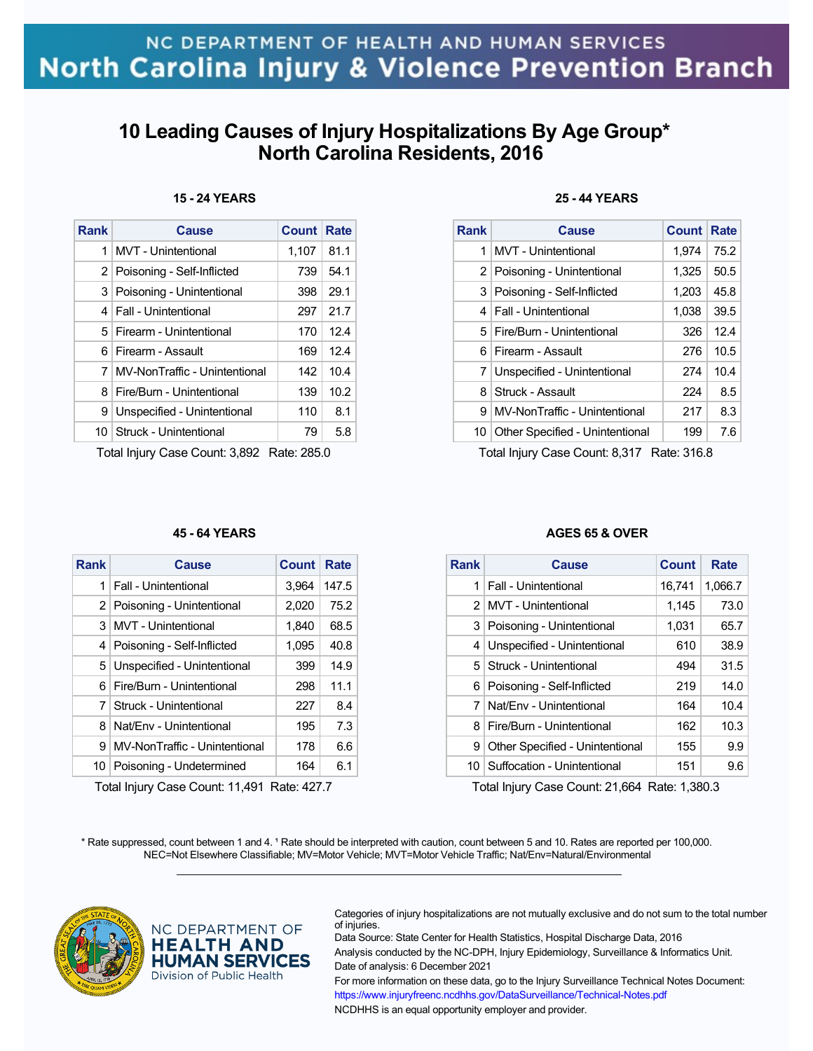## **10 Leading Causes of Injury Hospitalizations By Age Group\* North Carolina Residents, 2016**

| 15 - 24 YEARS |
|---------------|
|               |

| Rank | Cause                           | <b>Count Rate</b> |      |
|------|---------------------------------|-------------------|------|
| 1    | <b>MVT</b> - Unintentional      | 1,107             | 81.1 |
|      | 2   Poisoning - Self-Inflicted  | 739               | 54.1 |
|      | 3   Poisoning - Unintentional   | 398               | 29.1 |
|      | 4   Fall - Unintentional        | 297               | 21.7 |
|      | 5   Firearm - Unintentional     | 170               | 12.4 |
|      | 6 Firearm - Assault             | 169               | 12.4 |
|      | 7 MV-NonTraffic - Unintentional | 142               | 10.4 |
| 8    | Fire/Burn - Unintentional       | 139               | 10.2 |
| 9    | Unspecified - Unintentional     | 110               | 8.1  |
|      | 10   Struck - Unintentional     | 79                | 5.8  |

Total Injury Case Count: 3,892 Rate: 285.0

#### **45 - 64 YEARS**

| Rank | Cause                         | Count | Rate  |
|------|-------------------------------|-------|-------|
| 1    | Fall - Unintentional          | 3.964 | 147.5 |
|      | 2   Poisoning - Unintentional | 2,020 | 75.2  |
|      | 3 MVT - Unintentional         | 1,840 | 68.5  |
|      | 4 Poisoning - Self-Inflicted  | 1,095 | 40.8  |
|      | 5 Unspecified - Unintentional | 399   | 14.9  |
|      | 6   Fire/Burn - Unintentional | 298   | 11.1  |
| 7    | Struck - Unintentional        | 227   | 8.4   |
| 8    | Nat/Fny - Unintentional       | 195   | 7.3   |
| 9    | MV-NonTraffic - Unintentional | 178   | 6.6   |
| 10   | Poisoning - Undetermined      | 164   | 6.1   |

Total Injury Case Count: 11,491 Rate: 427.7

### **25 - 44 YEARS**

| <b>Rank</b> | <b>Cause</b>                       | <b>Count</b> | Rate |
|-------------|------------------------------------|--------------|------|
| 1           | <b>MVT</b> - Unintentional         | 1,974        | 75.2 |
|             | 2 Poisoning - Unintentional        | 1,325        | 50.5 |
|             | 3 Poisoning - Self-Inflicted       | 1,203        | 45.8 |
|             | 4   Fall - Unintentional           | 1,038        | 39.5 |
|             | 5   Fire/Burn - Unintentional      | 326          | 12.4 |
|             | 6 Firearm - Assault                | 276          | 10.5 |
|             | 7 Unspecified - Unintentional      | 274          | 10.4 |
| 8           | Struck - Assault                   | 224          | 8.5  |
| 9           | MV-NonTraffic - Unintentional      | 217          | 8.3  |
|             | 10 Other Specified - Unintentional | 199          | 7.6  |

Total Injury Case Count: 8,317 Rate: 316.8

### **AGES 65 & OVER**

| <b>Rank</b> | Cause                           | <b>Count</b> | Rate    |
|-------------|---------------------------------|--------------|---------|
| 1           | Fall - Unintentional            | 16,741       | 1,066.7 |
| 2           | MVT - Unintentional             | 1.145        | 73.0    |
| 3           | Poisoning - Unintentional       | 1,031        | 65.7    |
| 4           | Unspecified - Unintentional     | 610          | 38.9    |
| 5.          | Struck - Unintentional          | 494          | 31.5    |
| 6           | Poisoning - Self-Inflicted      | 219          | 14.0    |
| 7           | Nat/Fny - Unintentional         | 164          | 10.4    |
| 8           | Fire/Burn - Unintentional       | 162          | 10.3    |
| 9           | Other Specified - Unintentional | 155          | 9.9     |
| 10          | Suffocation - Unintentional     | 151          | 9.6     |

Total Injury Case Count: 21,664 Rate: 1,380.3

\* Rate suppressed, count between 1 and 4. <sup>1</sup> Rate should be interpreted with caution, count between 5 and 10. Rates are reported per 100,000. NEC=Not Elsewhere Classifiable; MV=Motor Vehicle; MVT=Motor Vehicle Traffic; Nat/Env=Natural/Environmental  $\mathcal{L}_\mathcal{L} = \{ \mathcal{L}_\mathcal{L} = \{ \mathcal{L}_\mathcal{L} = \{ \mathcal{L}_\mathcal{L} = \{ \mathcal{L}_\mathcal{L} = \{ \mathcal{L}_\mathcal{L} = \{ \mathcal{L}_\mathcal{L} = \{ \mathcal{L}_\mathcal{L} = \{ \mathcal{L}_\mathcal{L} = \{ \mathcal{L}_\mathcal{L} = \{ \mathcal{L}_\mathcal{L} = \{ \mathcal{L}_\mathcal{L} = \{ \mathcal{L}_\mathcal{L} = \{ \mathcal{L}_\mathcal{L} = \{ \mathcal{L}_\mathcal{$ 



NC DEPARTMENT OF **HEALTH AND HUMAN SERVICES** Division of Public Health

Categories of injury hospitalizations are not mutually exclusive and do not sum to the total number of injuries.

Data Source: State Center for Health Statistics, Hospital Discharge Data, 2016 Analysis conducted by the NC-DPH, Injury Epidemiology, Surveillance & Informatics Unit. Date of analysis: 6 December 2021 For more information on these data, go to the Injury Surveillance Technical Notes Document:

https://www.injuryfreenc.ncdhhs.gov/DataSurveillance/Technical-Notes.pdf NCDHHS is an equal opportunity employer and provider.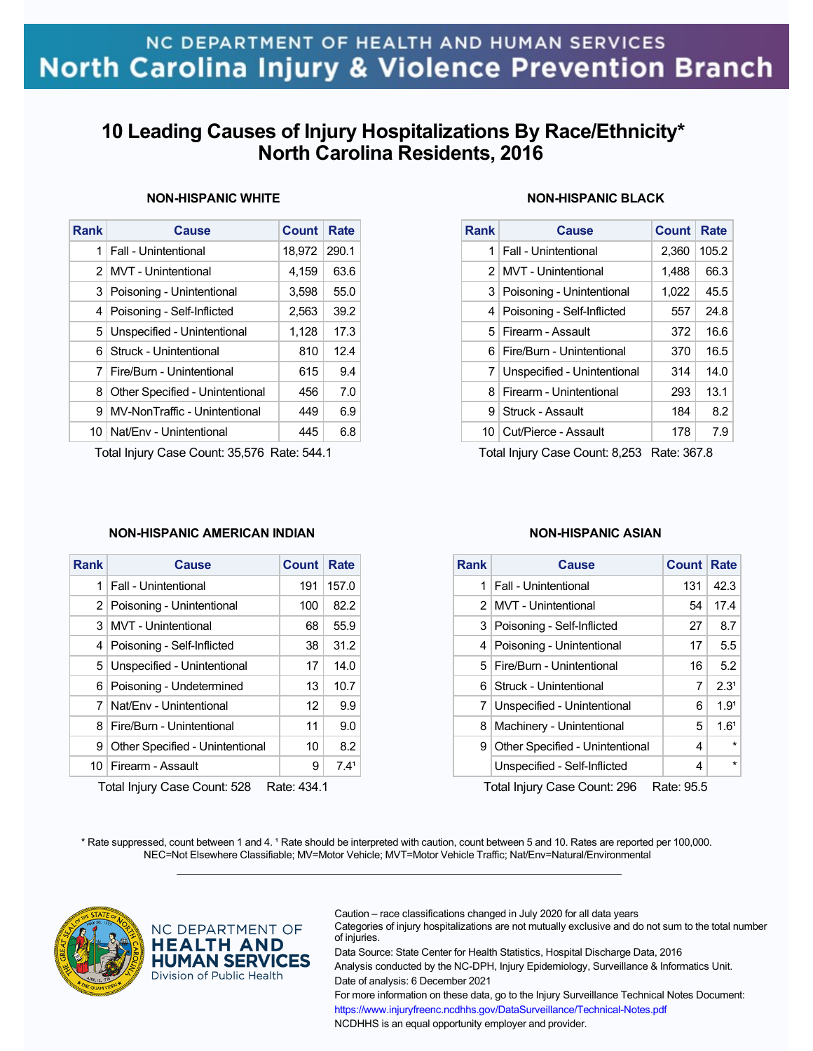## **10 Leading Causes of Injury Hospitalizations By Race/Ethnicity\* North Carolina Residents, 2016**

| Rank | Cause                           | Count  | Rate  |
|------|---------------------------------|--------|-------|
| 1    | Fall - Unintentional            | 18,972 | 290.1 |
| 2    | MVT - Unintentional             | 4,159  | 63.6  |
| 3    | Poisoning - Unintentional       | 3,598  | 55.0  |
| 4    | Poisoning - Self-Inflicted      | 2,563  | 39.2  |
| 5    | Unspecified - Unintentional     | 1,128  | 17.3  |
| 6    | Struck - Unintentional          | 810    | 12.4  |
| 7    | Fire/Burn - Unintentional       | 615    | 9.4   |
| 8    | Other Specified - Unintentional | 456    | 7.0   |
| 9    | MV-NonTraffic - Unintentional   | 449    | 6.9   |
| 10   | Nat/Env - Unintentional         | 445    | 6.8   |

### **NON-HISPANIC WHITE**

Total Injury Case Count: 35,576 Rate: 544.1

### **NON-HISPANIC BLACK**

| <b>Rank</b>    | <b>Cause</b>                  | <b>Count</b> | Rate  |
|----------------|-------------------------------|--------------|-------|
| 1              | <b>Fall - Unintentional</b>   | 2,360        | 105.2 |
|                | 2 MVT - Unintentional         | 1,488        | 66.3  |
|                | 3   Poisoning - Unintentional | 1,022        | 45.5  |
| 4 <sup>1</sup> | Poisoning - Self-Inflicted    | 557          | 24.8  |
|                | 5 Firearm - Assault           | 372          | 16.6  |
| 61             | Fire/Burn - Unintentional     | 370          | 16.5  |
|                | 7 Unspecified - Unintentional | 314          | 14.0  |
| 8              | Firearm - Unintentional       | 293          | 13.1  |
| 9              | Struck - Assault              | 184          | 8.2   |
|                | 10 Cut/Pierce - Assault       | 178          | 7.9   |

Total Injury Case Count: 8,253 Rate: 367.8

### **NON-HISPANIC AMERICAN INDIAN**

| <b>Rank</b>    | <b>Cause</b>                    | Count | Rate             |  |
|----------------|---------------------------------|-------|------------------|--|
| 1              | <b>Fall - Unintentional</b>     | 191   | 157.0            |  |
| 2 <sup>1</sup> | Poisoning - Unintentional       | 100   | 82.2             |  |
| 3              | <b>MVT</b> - Unintentional      | 68    | 55.9             |  |
| 4              | Poisoning - Self-Inflicted      | 38    | 31.2             |  |
| 5              | Unspecified - Unintentional     | 17    | 14.0             |  |
| 6              | Poisoning - Undetermined        | 13    | 10.7             |  |
| 7              | Nat/Fny - Unintentional         | 12    | 9.9              |  |
| 8              | Fire/Burn - Unintentional       | 11    | 9.0              |  |
| 9              | Other Specified - Unintentional | 10    | 8.2              |  |
| 10             | Firearm - Assault               | 9     | 7.4 <sup>1</sup> |  |
| -^^            |                                 |       |                  |  |

Total Injury Case Count: 528 Rate: 434.1

#### **NON-HISPANIC ASIAN**

| <b>Rank</b> | Cause                           | Count | Rate             |
|-------------|---------------------------------|-------|------------------|
| 1           | Fall - Unintentional            | 131   | 42.3             |
|             | 2 MVT - Unintentional           | 54    | 17.4             |
| 3           | Poisoning - Self-Inflicted      | 27    | 8.7              |
|             | 4   Poisoning - Unintentional   | 17    | 5.5              |
|             | 5   Fire/Burn - Unintentional   | 16    | 5.2              |
|             | 6 Struck - Unintentional        | 7     | 2.3 <sup>1</sup> |
| 7           | Unspecified - Unintentional     | 6     | 1.9 <sup>1</sup> |
| 8           | Machinery - Unintentional       | 5     | 1.6 <sup>1</sup> |
| 9           | Other Specified - Unintentional | 4     | $\star$          |
|             | Unspecified - Self-Inflicted    | 4     | $\star$          |

Total Injury Case Count: 296 Rate: 95.5

\* Rate suppressed, count between 1 and 4. <sup>1</sup> Rate should be interpreted with caution, count between 5 and 10. Rates are reported per 100,000. NEC=Not Elsewhere Classifiable; MV=Motor Vehicle; MVT=Motor Vehicle Traffic; Nat/Env=Natural/Environmental  $\mathcal{L}_\mathcal{L} = \{ \mathcal{L}_\mathcal{L} = \{ \mathcal{L}_\mathcal{L} = \{ \mathcal{L}_\mathcal{L} = \{ \mathcal{L}_\mathcal{L} = \{ \mathcal{L}_\mathcal{L} = \{ \mathcal{L}_\mathcal{L} = \{ \mathcal{L}_\mathcal{L} = \{ \mathcal{L}_\mathcal{L} = \{ \mathcal{L}_\mathcal{L} = \{ \mathcal{L}_\mathcal{L} = \{ \mathcal{L}_\mathcal{L} = \{ \mathcal{L}_\mathcal{L} = \{ \mathcal{L}_\mathcal{L} = \{ \mathcal{L}_\mathcal{$ 



NC DEPARTMENT OF **HEALTH AND HUMAN SERVICES** Division of Public Health

Caution – race classifications changed in July 2020 for all data years

Categories of injury hospitalizations are not mutually exclusive and do not sum to the total number of injuries.

Data Source: State Center for Health Statistics, Hospital Discharge Data, 2016 Analysis conducted by the NC-DPH, Injury Epidemiology, Surveillance & Informatics Unit. Date of analysis: 6 December 2021

For more information on these data, go to the Injury Surveillance Technical Notes Document: https://www.injuryfreenc.ncdhhs.gov/DataSurveillance/Technical-Notes.pdf NCDHHS is an equal opportunity employer and provider.